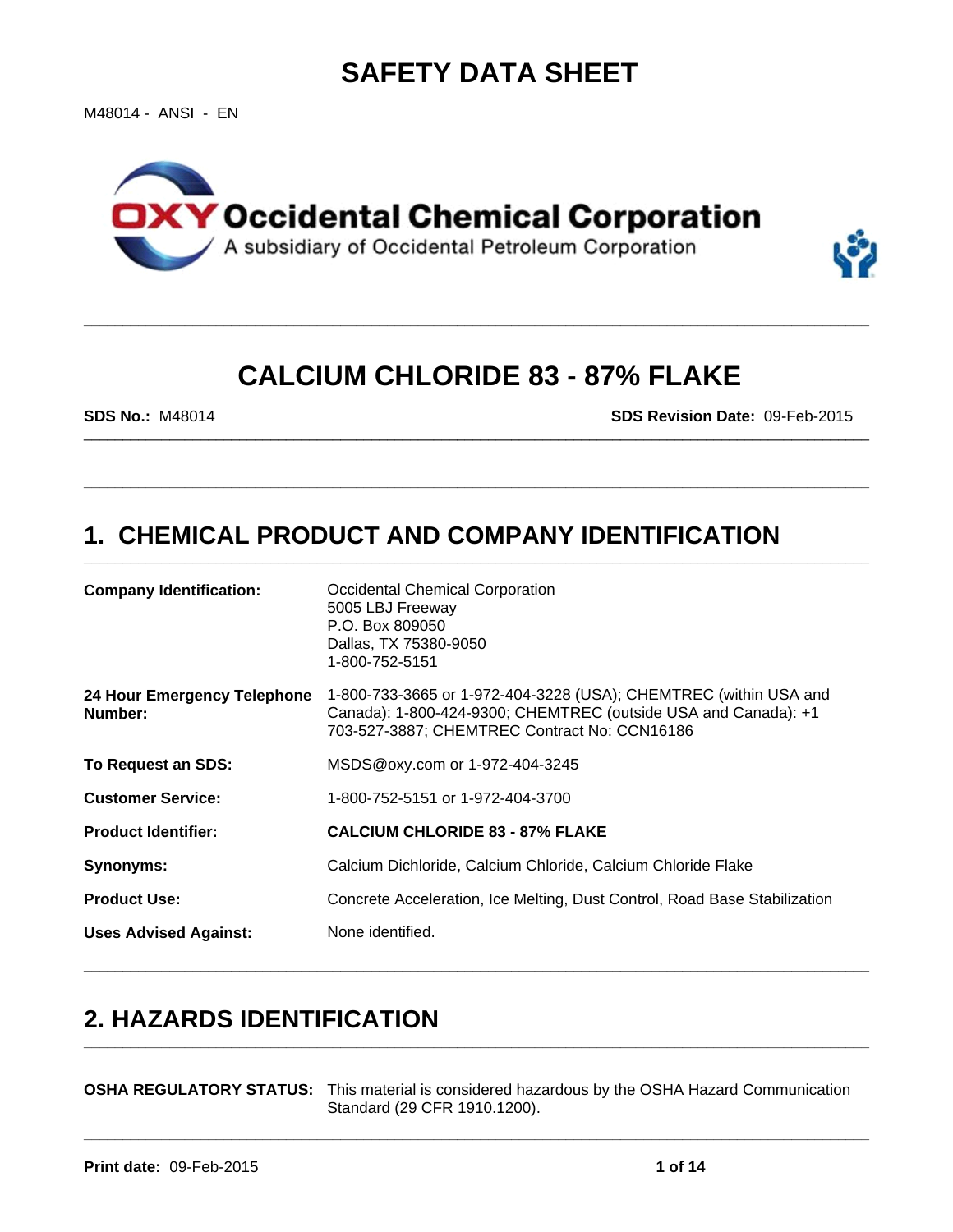# **SAFETY DATA SHEET**

M48014 - ANSI - EN



# **CALCIUM CHLORIDE 83 - 87% FLAKE**

\_\_\_\_\_\_\_\_\_\_\_\_\_\_\_\_\_\_\_\_\_\_\_\_\_\_\_\_\_\_\_\_\_\_\_\_\_\_\_\_\_\_\_\_\_\_\_\_\_\_\_\_\_\_\_\_\_\_\_\_\_\_\_\_\_\_\_\_\_\_\_\_\_\_\_\_\_\_\_\_\_\_\_\_\_\_\_\_\_\_\_\_\_\_\_\_\_\_\_\_\_

**\_\_\_\_\_\_\_\_\_\_\_\_\_\_\_\_\_\_\_\_\_\_\_\_\_\_\_\_\_\_\_\_\_\_\_\_\_\_\_\_\_\_\_\_\_\_\_\_\_\_\_\_\_\_\_\_\_\_\_\_\_\_\_\_\_\_\_\_\_\_\_\_\_\_\_\_\_\_\_\_\_\_\_\_\_\_\_\_\_\_\_\_\_\_\_\_\_\_\_\_\_**

**\_\_\_\_\_\_\_\_\_\_\_\_\_\_\_\_\_\_\_\_\_\_\_\_\_\_\_\_\_\_\_\_\_\_\_\_\_\_\_\_\_\_\_\_\_\_\_\_\_\_\_\_\_\_\_\_\_\_\_\_\_\_\_\_\_\_\_\_\_\_\_\_\_\_\_\_\_\_\_\_\_\_\_\_\_\_\_\_\_\_\_\_\_\_\_\_\_\_\_\_\_**

**\_\_\_\_\_\_\_\_\_\_\_\_\_\_\_\_\_\_\_\_\_\_\_\_\_\_\_\_\_\_\_\_\_\_\_\_\_\_\_\_\_\_\_\_\_\_\_\_\_\_\_\_\_\_\_\_\_\_\_\_\_\_\_\_\_\_\_\_\_\_\_\_\_\_\_\_\_\_\_\_\_\_\_\_\_\_\_\_\_\_\_\_\_\_\_\_\_\_\_\_\_**

**SDS No.:** M48014 **SDS Revision Date:** 09-Feb-2015

## **1. CHEMICAL PRODUCT AND COMPANY IDENTIFICATION**

| <b>Company Identification:</b>         | <b>Occidental Chemical Corporation</b><br>5005 LBJ Freeway<br>P.O. Box 809050<br>Dallas, TX 75380-9050<br>1-800-752-5151                                                           |
|----------------------------------------|------------------------------------------------------------------------------------------------------------------------------------------------------------------------------------|
| 24 Hour Emergency Telephone<br>Number: | 1-800-733-3665 or 1-972-404-3228 (USA); CHEMTREC (within USA and<br>Canada): 1-800-424-9300; CHEMTREC (outside USA and Canada): +1<br>703-527-3887; CHEMTREC Contract No: CCN16186 |
| To Request an SDS:                     | MSDS@oxy.com or 1-972-404-3245                                                                                                                                                     |
| <b>Customer Service:</b>               | 1-800-752-5151 or 1-972-404-3700                                                                                                                                                   |
| <b>Product Identifier:</b>             | <b>CALCIUM CHLORIDE 83 - 87% FLAKE</b>                                                                                                                                             |
| <b>Synonyms:</b>                       | Calcium Dichloride, Calcium Chloride, Calcium Chloride Flake                                                                                                                       |
| <b>Product Use:</b>                    | Concrete Acceleration, Ice Melting, Dust Control, Road Base Stabilization                                                                                                          |
| <b>Uses Advised Against:</b>           | None identified.                                                                                                                                                                   |
|                                        |                                                                                                                                                                                    |

## **2. HAZARDS IDENTIFICATION \_\_\_\_\_\_\_\_\_\_\_\_\_\_\_\_\_\_\_\_\_\_\_\_\_\_\_\_\_\_\_\_\_\_\_\_\_\_\_\_\_\_\_\_\_\_\_\_\_\_\_\_\_\_\_\_\_\_\_\_\_\_\_\_\_\_\_\_\_\_\_\_\_\_\_\_\_\_\_\_\_\_\_\_\_\_\_\_\_\_\_\_\_\_\_\_\_\_\_\_\_**

**OSHA REGULATORY STATUS:** This material is considered hazardous by the OSHA Hazard Communication Standard (29 CFR 1910.1200).

**\_\_\_\_\_\_\_\_\_\_\_\_\_\_\_\_\_\_\_\_\_\_\_\_\_\_\_\_\_\_\_\_\_\_\_\_\_\_\_\_\_\_\_\_\_\_\_\_\_\_\_\_\_\_\_\_\_\_\_\_\_\_\_\_\_\_\_\_\_\_\_\_\_\_\_\_\_\_\_\_\_\_\_\_\_\_\_\_\_\_\_\_\_\_\_\_\_\_\_\_\_**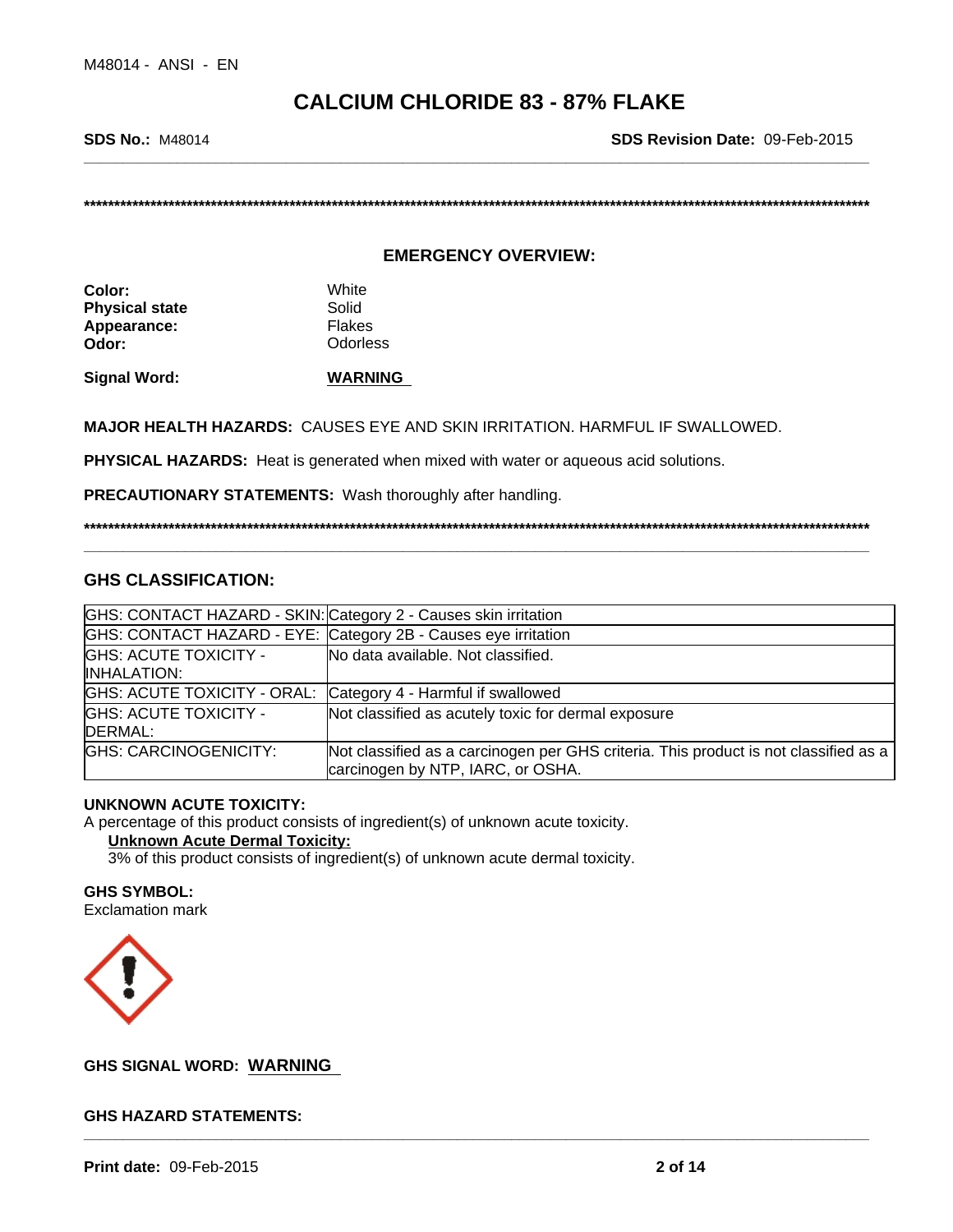**SDS No.:** M48014 **SDS Revision Date:** 09-Feb-2015

**\*\*\*\*\*\*\*\*\*\*\*\*\*\*\*\*\*\*\*\*\*\*\*\*\*\*\*\*\*\*\*\*\*\*\*\*\*\*\*\*\*\*\*\*\*\*\*\*\*\*\*\*\*\*\*\*\*\*\*\*\*\*\*\*\*\*\*\*\*\*\*\*\*\*\*\*\*\*\*\*\*\*\*\*\*\*\*\*\*\*\*\*\*\*\*\*\*\*\*\*\*\*\*\*\*\*\*\*\*\*\*\*\*\*\*\*\*\*\*\*\*\*\*\*\*\*\*\*\*\***

## **EMERGENCY OVERVIEW:**

**Color:** White **Physical state** Solid Appearance: Flakes **Odor:** Odorless

**Signal Word: WARNING** 

**MAJOR HEALTH HAZARDS:** CAUSES EYE AND SKIN IRRITATION. HARMFUL IF SWALLOWED.

**PHYSICAL HAZARDS:** Heat is generated when mixed with water or aqueous acid solutions.

**PRECAUTIONARY STATEMENTS:** Wash thoroughly after handling.

**\*\*\*\*\*\*\*\*\*\*\*\*\*\*\*\*\*\*\*\*\*\*\*\*\*\*\*\*\*\*\*\*\*\*\*\*\*\*\*\*\*\*\*\*\*\*\*\*\*\*\*\*\*\*\*\*\*\*\*\*\*\*\*\*\*\*\*\*\*\*\*\*\*\*\*\*\*\*\*\*\*\*\*\*\*\*\*\*\*\*\*\*\*\*\*\*\*\*\*\*\*\*\*\*\*\*\*\*\*\*\*\*\*\*\*\*\*\*\*\*\*\*\*\*\*\*\*\*\*\***

**\_\_\_\_\_\_\_\_\_\_\_\_\_\_\_\_\_\_\_\_\_\_\_\_\_\_\_\_\_\_\_\_\_\_\_\_\_\_\_\_\_\_\_\_\_\_\_\_\_\_\_\_\_\_\_\_\_\_\_\_\_\_\_\_\_\_\_\_\_\_\_\_\_\_\_\_\_\_\_\_\_\_\_\_\_\_\_\_\_\_\_\_\_\_\_\_\_\_\_\_\_**

## **GHS CLASSIFICATION:**

| GHS: CONTACT HAZARD - SKIN: Category 2 - Causes skin irritation |                                                                                                                           |  |
|-----------------------------------------------------------------|---------------------------------------------------------------------------------------------------------------------------|--|
|                                                                 | GHS: CONTACT HAZARD - EYE: Category 2B - Causes eye irritation                                                            |  |
| <b>GHS: ACUTE TOXICITY -</b><br><b>IINHALATION:</b>             | No data available. Not classified.                                                                                        |  |
| GHS: ACUTE TOXICITY - ORAL: Category 4 - Harmful if swallowed   |                                                                                                                           |  |
| <b>GHS: ACUTE TOXICITY -</b><br>DERMAL:                         | Not classified as acutely toxic for dermal exposure                                                                       |  |
| <b>GHS: CARCINOGENICITY:</b>                                    | Not classified as a carcinogen per GHS criteria. This product is not classified as a<br>carcinogen by NTP, IARC, or OSHA. |  |

## **UNKNOWN ACUTE TOXICITY:**

A percentage of this product consists of ingredient(s) of unknown acute toxicity.

## **Unknown Acute Dermal Toxicity:**

3% of this product consists of ingredient(s) of unknown acute dermal toxicity.

**GHS SYMBOL:** Exclamation mark



# **\_\_\_\_\_\_\_\_\_\_\_\_\_\_\_\_\_\_\_\_\_\_\_\_\_\_\_\_\_\_\_\_\_\_\_\_\_\_\_\_\_\_\_\_\_\_\_\_\_\_\_\_\_\_\_\_\_\_\_\_\_\_\_\_\_\_\_\_\_\_\_\_\_\_\_\_\_\_\_\_\_\_\_\_\_\_\_\_\_\_\_\_\_\_\_\_\_\_\_\_\_ GHS SIGNAL WORD: WARNING**

## **GHS HAZARD STATEMENTS:**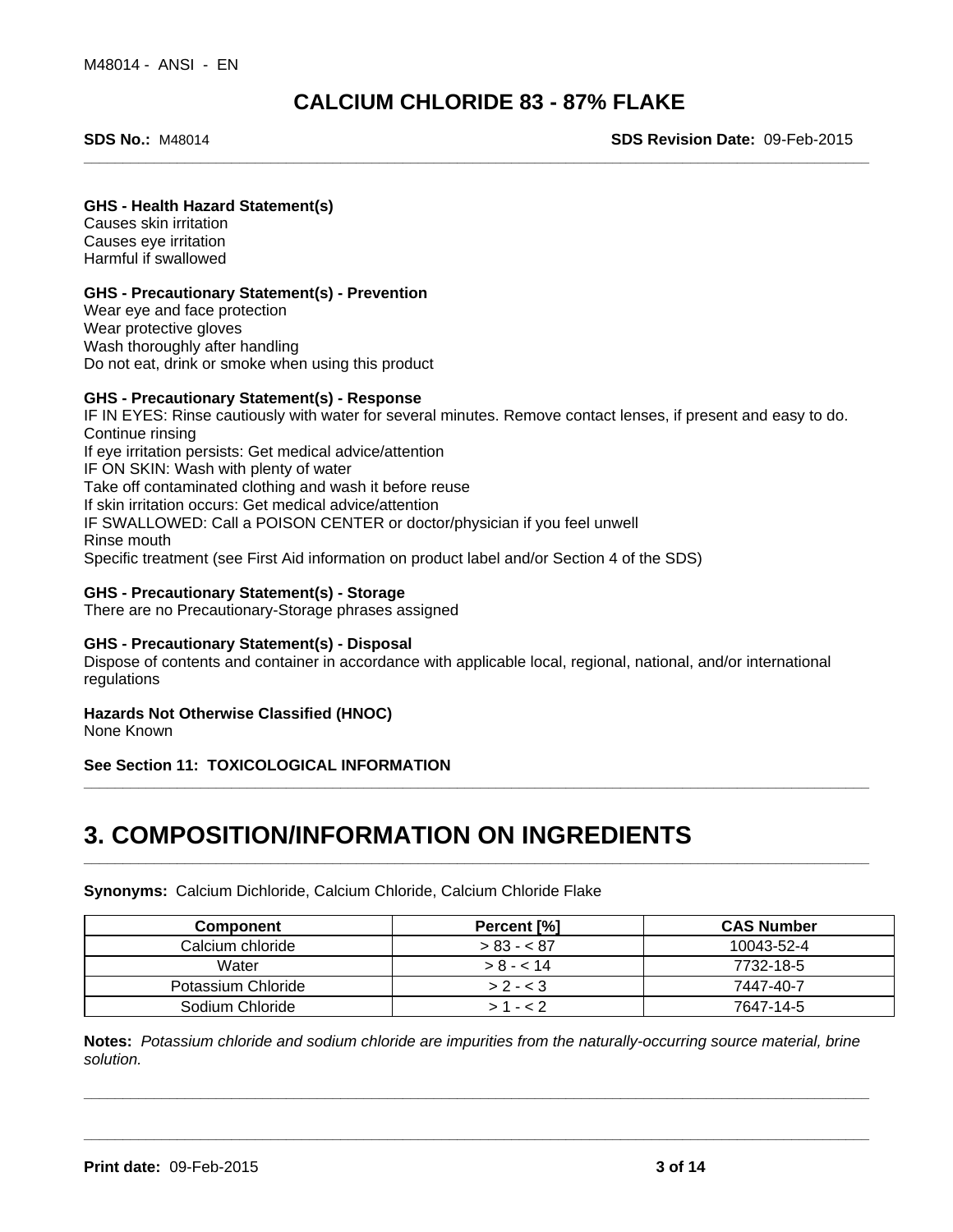**SDS No.:** M48014 **SDS Revision Date:** 09-Feb-2015

## **GHS - Health Hazard Statement(s)**

Causes skin irritation Causes eye irritation Harmful if swallowed

## **GHS - Precautionary Statement(s) - Prevention**

Wear eye and face protection Wear protective gloves Wash thoroughly after handling Do not eat, drink or smoke when using this product

## **GHS - Precautionary Statement(s) - Response**

IF IN EYES: Rinse cautiously with water for several minutes. Remove contact lenses, if present and easy to do. Continue rinsing If eye irritation persists: Get medical advice/attention IF ON SKIN: Wash with plenty of water Take off contaminated clothing and wash it before reuse If skin irritation occurs: Get medical advice/attention IF SWALLOWED: Call a POISON CENTER or doctor/physician if you feel unwell Rinse mouth Specific treatment (see First Aid information on product label and/or Section 4 of the SDS)

## **GHS - Precautionary Statement(s) - Storage**

There are no Precautionary-Storage phrases assigned

## **GHS - Precautionary Statement(s) - Disposal**

Dispose of contents and container in accordance with applicable local, regional, national, and/or international regulations

## **Hazards Not Otherwise Classified (HNOC)**

None Known

**See Section 11: TOXICOLOGICAL INFORMATION**

## **3. COMPOSITION/INFORMATION ON INGREDIENTS**

**Synonyms:** Calcium Dichloride, Calcium Chloride, Calcium Chloride Flake

| <b>Component</b>   | Percent [%]  | <b>CAS Number</b> |
|--------------------|--------------|-------------------|
| Calcium chloride   | $> 83 - 87$  | 10043-52-4        |
| Water              | $> 8 - < 14$ | 7732-18-5         |
| Potassium Chloride | $> 2 - 3$    | 7447-40-7         |
| Sodium Chloride    | $1 - 2$      | 7647-14-5         |

**\_\_\_\_\_\_\_\_\_\_\_\_\_\_\_\_\_\_\_\_\_\_\_\_\_\_\_\_\_\_\_\_\_\_\_\_\_\_\_\_\_\_\_\_\_\_\_\_\_\_\_\_\_\_\_\_\_\_\_\_\_\_\_\_\_\_\_\_\_\_\_\_\_\_\_\_\_\_\_\_\_\_\_\_\_\_\_\_\_\_\_\_\_\_\_\_\_\_\_\_\_**

**\_\_\_\_\_\_\_\_\_\_\_\_\_\_\_\_\_\_\_\_\_\_\_\_\_\_\_\_\_\_\_\_\_\_\_\_\_\_\_\_\_\_\_\_\_\_\_\_\_\_\_\_\_\_\_\_\_\_\_\_\_\_\_\_\_\_\_\_\_\_\_\_\_\_\_\_\_\_\_\_\_\_\_\_\_\_\_\_\_\_\_\_\_\_\_\_\_\_\_\_\_**

**\_\_\_\_\_\_\_\_\_\_\_\_\_\_\_\_\_\_\_\_\_\_\_\_\_\_\_\_\_\_\_\_\_\_\_\_\_\_\_\_\_\_\_\_\_\_\_\_\_\_\_\_\_\_\_\_\_\_\_\_\_\_\_\_\_\_\_\_\_\_\_\_\_\_\_\_\_\_\_\_\_\_\_\_\_\_\_\_\_\_\_\_\_\_\_\_\_\_\_\_\_**

**Notes:** *Potassium chloride and sodium chloride are impurities from the naturally-occurring source material, brine solution.*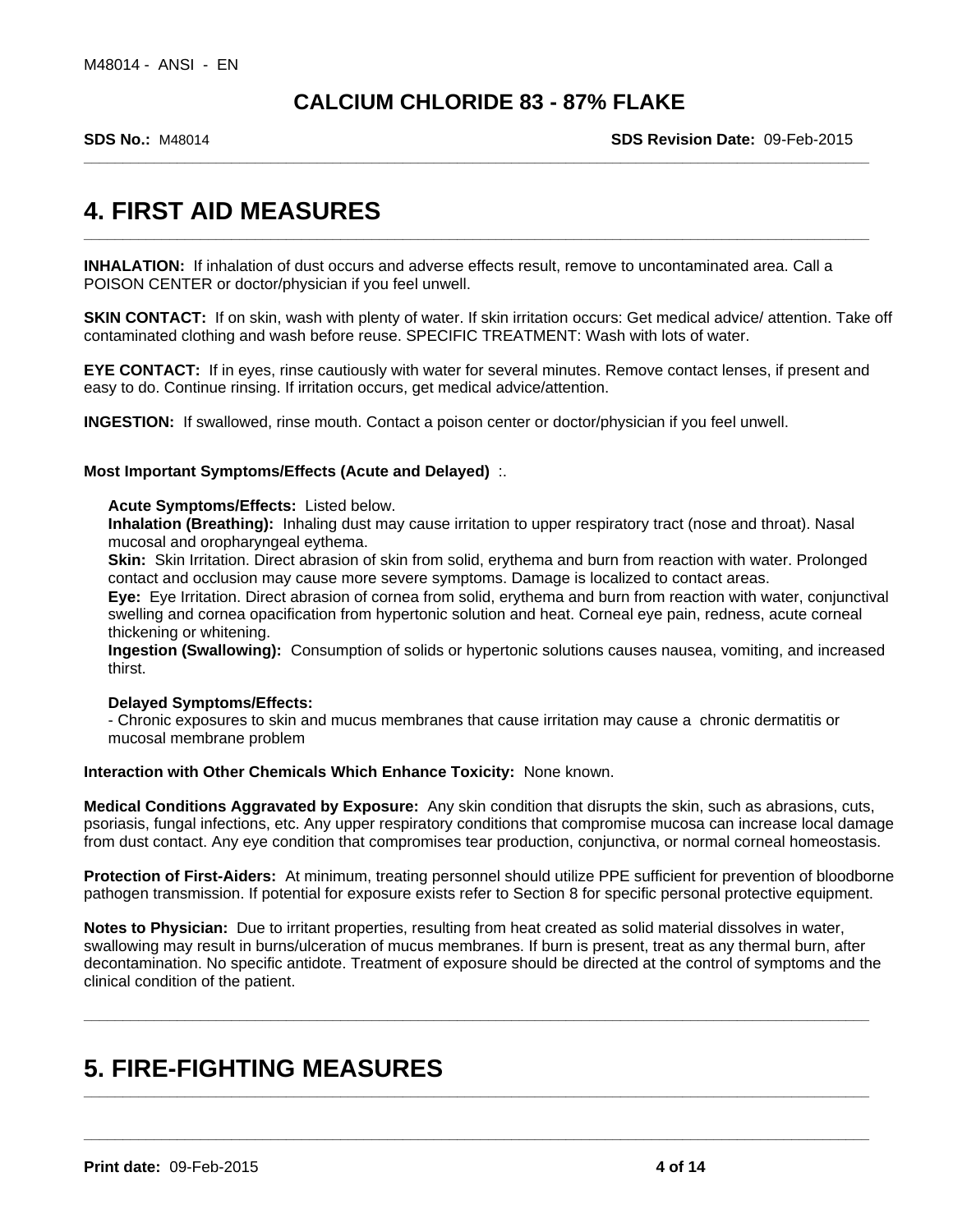**SDS No.:** M48014 **SDS Revision Date:** 09-Feb-2015

## **4. FIRST AID MEASURES**

**INHALATION:** If inhalation of dust occurs and adverse effects result, remove to uncontaminated area. Call a POISON CENTER or doctor/physician if you feel unwell.

**SKIN CONTACT:** If on skin, wash with plenty of water. If skin irritation occurs: Get medical advice/ attention. Take off contaminated clothing and wash before reuse. SPECIFIC TREATMENT: Wash with lots of water.

**\_\_\_\_\_\_\_\_\_\_\_\_\_\_\_\_\_\_\_\_\_\_\_\_\_\_\_\_\_\_\_\_\_\_\_\_\_\_\_\_\_\_\_\_\_\_\_\_\_\_\_\_\_\_\_\_\_\_\_\_\_\_\_\_\_\_\_\_\_\_\_\_\_\_\_\_\_\_\_\_\_\_\_\_\_\_\_\_\_\_\_\_\_\_\_\_\_\_\_\_\_**

**EYE CONTACT:** If in eyes, rinse cautiously with water for several minutes. Remove contact lenses, if present and easy to do. Continue rinsing. If irritation occurs, get medical advice/attention.

**INGESTION:** If swallowed, rinse mouth. Contact a poison center or doctor/physician if you feel unwell.

## **Most Important Symptoms/Effects (Acute and Delayed)** :.

**Acute Symptoms/Effects:** Listed below.

**Inhalation (Breathing):** Inhaling dust may cause irritation to upper respiratory tract (nose and throat). Nasal mucosal and oropharyngeal eythema.

**Skin:** Skin Irritation. Direct abrasion of skin from solid, erythema and burn from reaction with water. Prolonged contact and occlusion may cause more severe symptoms. Damage is localized to contact areas.

**Eye:** Eye Irritation. Direct abrasion of cornea from solid, erythema and burn from reaction with water, conjunctival swelling and cornea opacification from hypertonic solution and heat. Corneal eye pain, redness, acute corneal thickening or whitening.

**Ingestion (Swallowing):** Consumption of solids or hypertonic solutions causes nausea, vomiting, and increased thirst.

## **Delayed Symptoms/Effects:**

- Chronic exposures to skin and mucus membranes that cause irritation may cause a chronic dermatitis or mucosal membrane problem

**Interaction with Other Chemicals Which Enhance Toxicity:** None known.

**Medical Conditions Aggravated by Exposure:** Any skin condition that disrupts the skin, such as abrasions, cuts, psoriasis, fungal infections, etc. Any upper respiratory conditions that compromise mucosa can increase local damage from dust contact. Any eye condition that compromises tear production, conjunctiva, or normal corneal homeostasis.

**Protection of First-Aiders:** At minimum, treating personnel should utilize PPE sufficient for prevention of bloodborne pathogen transmission. If potential for exposure exists refer to Section 8 for specific personal protective equipment.

**Notes to Physician:** Due to irritant properties, resulting from heat created as solid material dissolves in water, swallowing may result in burns/ulceration of mucus membranes. If burn is present, treat as any thermal burn, after decontamination. No specific antidote. Treatment of exposure should be directed at the control of symptoms and the clinical condition of the patient.

**\_\_\_\_\_\_\_\_\_\_\_\_\_\_\_\_\_\_\_\_\_\_\_\_\_\_\_\_\_\_\_\_\_\_\_\_\_\_\_\_\_\_\_\_\_\_\_\_\_\_\_\_\_\_\_\_\_\_\_\_\_\_\_\_\_\_\_\_\_\_\_\_\_\_\_\_\_\_\_\_\_\_\_\_\_\_\_\_\_\_\_\_\_\_\_\_\_\_\_\_\_**

**\_\_\_\_\_\_\_\_\_\_\_\_\_\_\_\_\_\_\_\_\_\_\_\_\_\_\_\_\_\_\_\_\_\_\_\_\_\_\_\_\_\_\_\_\_\_\_\_\_\_\_\_\_\_\_\_\_\_\_\_\_\_\_\_\_\_\_\_\_\_\_\_\_\_\_\_\_\_\_\_\_\_\_\_\_\_\_\_\_\_\_\_\_\_\_\_\_\_\_\_\_**

**\_\_\_\_\_\_\_\_\_\_\_\_\_\_\_\_\_\_\_\_\_\_\_\_\_\_\_\_\_\_\_\_\_\_\_\_\_\_\_\_\_\_\_\_\_\_\_\_\_\_\_\_\_\_\_\_\_\_\_\_\_\_\_\_\_\_\_\_\_\_\_\_\_\_\_\_\_\_\_\_\_\_\_\_\_\_\_\_\_\_\_\_\_\_\_\_\_\_\_\_\_**

## **5. FIRE-FIGHTING MEASURES**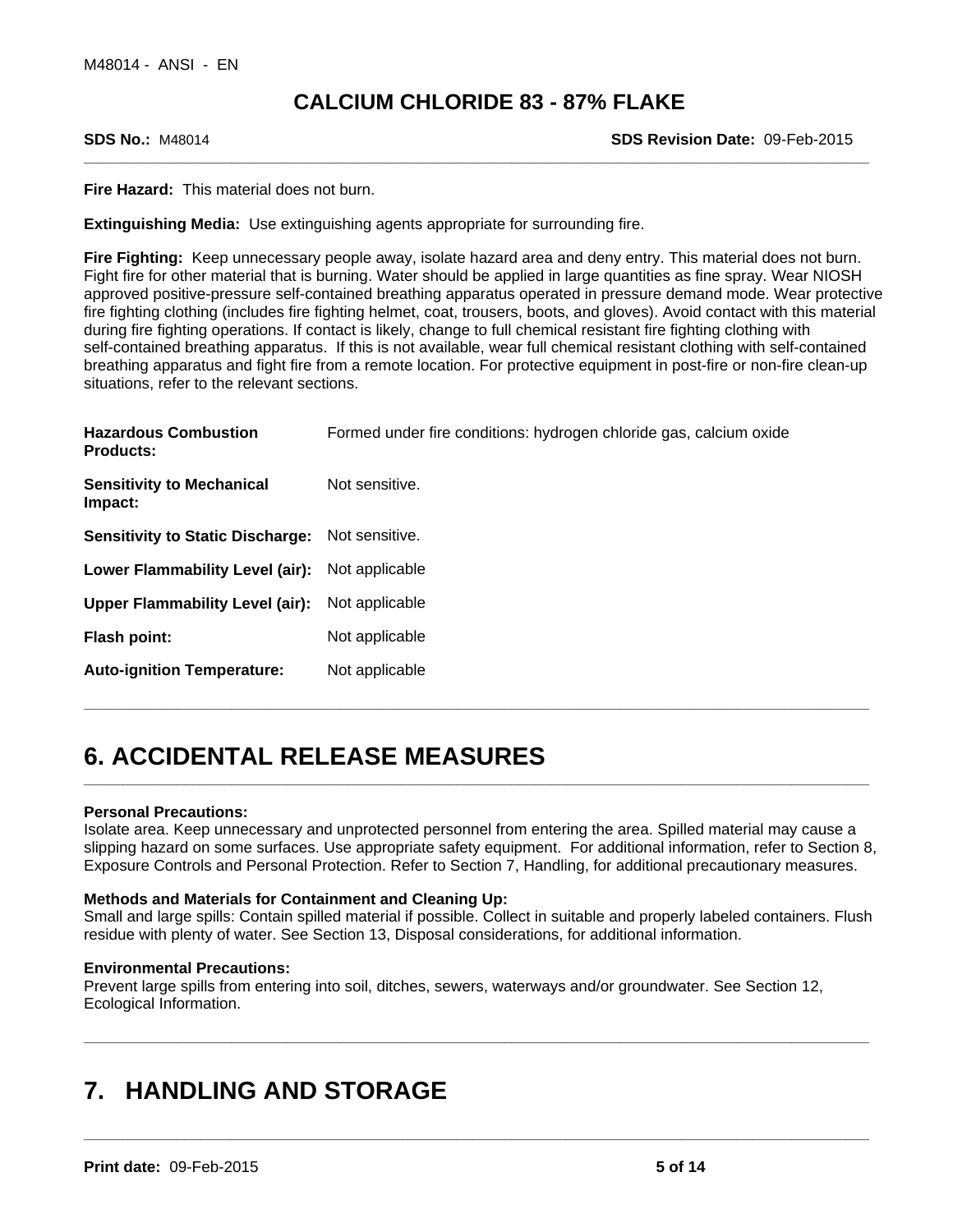**SDS No.:** M48014 **SDS Revision Date:** 09-Feb-2015

**Fire Hazard:** This material does not burn.

**Extinguishing Media:** Use extinguishing agents appropriate for surrounding fire.

**Fire Fighting:** Keep unnecessary people away, isolate hazard area and deny entry. This material does not burn. Fight fire for other material that is burning. Water should be applied in large quantities as fine spray. Wear NIOSH approved positive-pressure self-contained breathing apparatus operated in pressure demand mode. Wear protective fire fighting clothing (includes fire fighting helmet, coat, trousers, boots, and gloves). Avoid contact with this material during fire fighting operations. If contact is likely, change to full chemical resistant fire fighting clothing with self-contained breathing apparatus. If this is not available, wear full chemical resistant clothing with self-contained breathing apparatus and fight fire from a remote location. For protective equipment in post-fire or non-fire clean-up situations, refer to the relevant sections.

| <b>Hazardous Combustion</b><br><b>Products:</b>        | Formed under fire conditions: hydrogen chloride gas, calcium oxide |
|--------------------------------------------------------|--------------------------------------------------------------------|
| <b>Sensitivity to Mechanical</b><br>Impact:            | Not sensitive.                                                     |
| <b>Sensitivity to Static Discharge:</b> Not sensitive. |                                                                    |
| Lower Flammability Level (air): Not applicable         |                                                                    |
| Upper Flammability Level (air): Not applicable         |                                                                    |
| Flash point:                                           | Not applicable                                                     |
| <b>Auto-ignition Temperature:</b>                      | Not applicable                                                     |

## **6. ACCIDENTAL RELEASE MEASURES**

## **Personal Precautions:**

Isolate area. Keep unnecessary and unprotected personnel from entering the area. Spilled material may cause a slipping hazard on some surfaces. Use appropriate safety equipment. For additional information, refer to Section 8, Exposure Controls and Personal Protection. Refer to Section 7, Handling, for additional precautionary measures.

**\_\_\_\_\_\_\_\_\_\_\_\_\_\_\_\_\_\_\_\_\_\_\_\_\_\_\_\_\_\_\_\_\_\_\_\_\_\_\_\_\_\_\_\_\_\_\_\_\_\_\_\_\_\_\_\_\_\_\_\_\_\_\_\_\_\_\_\_\_\_\_\_\_\_\_\_\_\_\_\_\_\_\_\_\_\_\_\_\_\_\_\_\_\_\_\_\_\_\_\_\_**

**\_\_\_\_\_\_\_\_\_\_\_\_\_\_\_\_\_\_\_\_\_\_\_\_\_\_\_\_\_\_\_\_\_\_\_\_\_\_\_\_\_\_\_\_\_\_\_\_\_\_\_\_\_\_\_\_\_\_\_\_\_\_\_\_\_\_\_\_\_\_\_\_\_\_\_\_\_\_\_\_\_\_\_\_\_\_\_\_\_\_\_\_\_\_\_\_\_\_\_\_\_**

**\_\_\_\_\_\_\_\_\_\_\_\_\_\_\_\_\_\_\_\_\_\_\_\_\_\_\_\_\_\_\_\_\_\_\_\_\_\_\_\_\_\_\_\_\_\_\_\_\_\_\_\_\_\_\_\_\_\_\_\_\_\_\_\_\_\_\_\_\_\_\_\_\_\_\_\_\_\_\_\_\_\_\_\_\_\_\_\_\_\_\_\_\_\_\_\_\_\_\_\_\_**

**\_\_\_\_\_\_\_\_\_\_\_\_\_\_\_\_\_\_\_\_\_\_\_\_\_\_\_\_\_\_\_\_\_\_\_\_\_\_\_\_\_\_\_\_\_\_\_\_\_\_\_\_\_\_\_\_\_\_\_\_\_\_\_\_\_\_\_\_\_\_\_\_\_\_\_\_\_\_\_\_\_\_\_\_\_\_\_\_\_\_\_\_\_\_\_\_\_\_\_\_\_**

## **Methods and Materials for Containment and Cleaning Up:**

Small and large spills: Contain spilled material if possible. Collect in suitable and properly labeled containers. Flush residue with plenty of water. See Section 13, Disposal considerations, for additional information.

## **Environmental Precautions:**

Prevent large spills from entering into soil, ditches, sewers, waterways and/or groundwater. See Section 12, Ecological Information.

## **7. HANDLING AND STORAGE**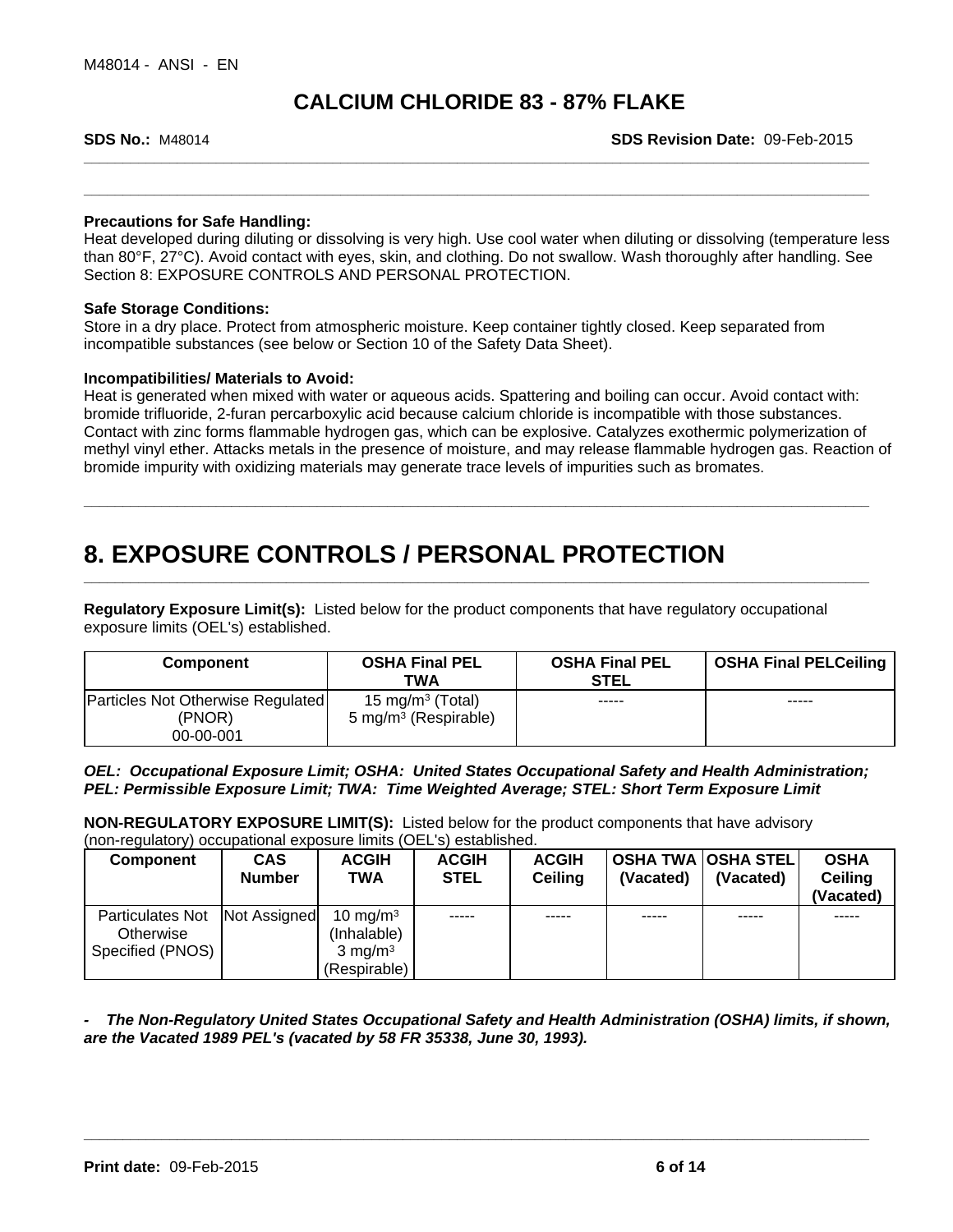**SDS No.:** M48014 **SDS Revision Date:** 09-Feb-2015

## **Precautions for Safe Handling:**

Heat developed during diluting or dissolving is very high. Use cool water when diluting or dissolving (temperature less than 80°F, 27°C). Avoid contact with eyes, skin, and clothing. Do not swallow. Wash thoroughly after handling. See Section 8: EXPOSURE CONTROLS AND PERSONAL PROTECTION.

**\_\_\_\_\_\_\_\_\_\_\_\_\_\_\_\_\_\_\_\_\_\_\_\_\_\_\_\_\_\_\_\_\_\_\_\_\_\_\_\_\_\_\_\_\_\_\_\_\_\_\_\_\_\_\_\_\_\_\_\_\_\_\_\_\_\_\_\_\_\_\_\_\_\_\_\_\_\_\_\_\_\_\_\_\_\_\_\_\_\_\_\_\_\_\_\_\_\_\_\_\_**

**\_\_\_\_\_\_\_\_\_\_\_\_\_\_\_\_\_\_\_\_\_\_\_\_\_\_\_\_\_\_\_\_\_\_\_\_\_\_\_\_\_\_\_\_\_\_\_\_\_\_\_\_\_\_\_\_\_\_\_\_\_\_\_\_\_\_\_\_\_\_\_\_\_\_\_\_\_\_\_\_\_\_\_\_\_\_\_\_\_\_\_\_\_\_\_\_\_\_\_\_\_**

**\_\_\_\_\_\_\_\_\_\_\_\_\_\_\_\_\_\_\_\_\_\_\_\_\_\_\_\_\_\_\_\_\_\_\_\_\_\_\_\_\_\_\_\_\_\_\_\_\_\_\_\_\_\_\_\_\_\_\_\_\_\_\_\_\_\_\_\_\_\_\_\_\_\_\_\_\_\_\_\_\_\_\_\_\_\_\_\_\_\_\_\_\_\_\_\_\_\_\_\_\_**

## **Safe Storage Conditions:**

Store in a dry place. Protect from atmospheric moisture. Keep container tightly closed. Keep separated from incompatible substances (see below or Section 10 of the Safety Data Sheet).

## **Incompatibilities/ Materials to Avoid:**

Heat is generated when mixed with water or aqueous acids. Spattering and boiling can occur. Avoid contact with: bromide trifluoride, 2-furan percarboxylic acid because calcium chloride is incompatible with those substances. Contact with zinc forms flammable hydrogen gas, which can be explosive. Catalyzes exothermic polymerization of methyl vinyl ether. Attacks metals in the presence of moisture, and may release flammable hydrogen gas. Reaction of bromide impurity with oxidizing materials may generate trace levels of impurities such as bromates.

## **8. EXPOSURE CONTROLS / PERSONAL PROTECTION**

**Regulatory Exposure Limit(s):** Listed below for the product components that have regulatory occupational exposure limits (OEL's) established.

| Component                                   | <b>OSHA Final PEL</b><br>TWA                                     | <b>OSHA Final PEL</b><br><b>STEL</b> | <b>OSHA Final PELCeiling</b> |
|---------------------------------------------|------------------------------------------------------------------|--------------------------------------|------------------------------|
| Particles Not Otherwise Regulated<br>(PNOR) | 15 mg/m <sup>3</sup> (Total)<br>5 mg/m <sup>3</sup> (Respirable) | -----                                | -----                        |
| 00-00-001                                   |                                                                  |                                      |                              |

*OEL: Occupational Exposure Limit; OSHA: United States Occupational Safety and Health Administration; PEL: Permissible Exposure Limit; TWA: Time Weighted Average; STEL: Short Term Exposure Limit*

**NON-REGULATORY EXPOSURE LIMIT(S):** Listed below for the product components that have advisory (non-regulatory) occupational exposure limits (OEL's) established.

| Component        | <b>CAS</b><br><b>Number</b> | <b>ACGIH</b><br><b>TWA</b> | <b>ACGIH</b><br><b>STEL</b> | <b>ACGIH</b><br><b>Ceiling</b> | (Vacated) | <b>OSHA TWA OSHA STEL</b><br>(Vacated) | <b>OSHA</b><br>Ceiling<br>(Vacated) |
|------------------|-----------------------------|----------------------------|-----------------------------|--------------------------------|-----------|----------------------------------------|-------------------------------------|
| Particulates Not | Not Assigned                | 10 mg/m $3$                | -----                       | -----                          | -----     | -----                                  | -----                               |
| Otherwise        |                             | (Inhalable)                |                             |                                |           |                                        |                                     |
| Specified (PNOS) |                             | $3 \text{ ma/m}^3$         |                             |                                |           |                                        |                                     |
|                  |                             | (Respirable)               |                             |                                |           |                                        |                                     |

*- The Non-Regulatory United States Occupational Safety and Health Administration (OSHA) limits, if shown, are the Vacated 1989 PEL's (vacated by 58 FR 35338, June 30, 1993).*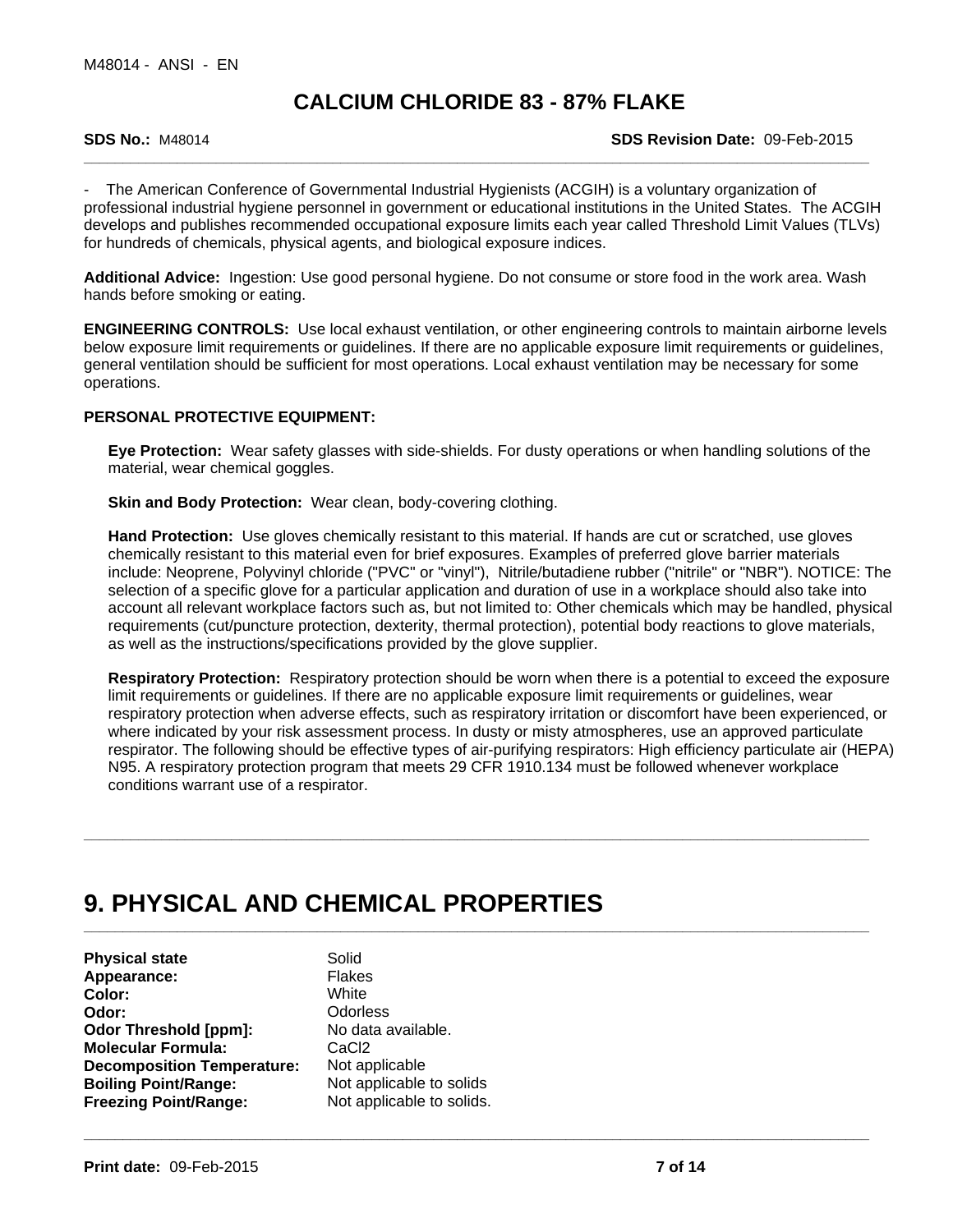**SDS No.:** M48014 **SDS Revision Date:** 09-Feb-2015

The American Conference of Governmental Industrial Hygienists (ACGIH) is a voluntary organization of professional industrial hygiene personnel in government or educational institutions in the United States. The ACGIH develops and publishes recommended occupational exposure limits each year called Threshold Limit Values (TLVs) for hundreds of chemicals, physical agents, and biological exposure indices.

**Additional Advice:** Ingestion: Use good personal hygiene. Do not consume or store food in the work area. Wash hands before smoking or eating.

**ENGINEERING CONTROLS:** Use local exhaust ventilation, or other engineering controls to maintain airborne levels below exposure limit requirements or guidelines. If there are no applicable exposure limit requirements or guidelines, general ventilation should be sufficient for most operations. Local exhaust ventilation may be necessary for some operations.

## **PERSONAL PROTECTIVE EQUIPMENT:**

**Eye Protection:** Wear safety glasses with side-shields. For dusty operations or when handling solutions of the material, wear chemical goggles.

**Skin and Body Protection: Wear clean, body-covering clothing.** 

**Hand Protection:** Use gloves chemically resistant to this material. If hands are cut or scratched, use gloves chemically resistant to this material even for brief exposures. Examples of preferred glove barrier materials include: Neoprene, Polyvinyl chloride ("PVC" or "vinyl"), Nitrile/butadiene rubber ("nitrile" or "NBR"). NOTICE: The selection of a specific glove for a particular application and duration of use in a workplace should also take into account all relevant workplace factors such as, but not limited to: Other chemicals which may be handled, physical requirements (cut/puncture protection, dexterity, thermal protection), potential body reactions to glove materials, as well as the instructions/specifications provided by the glove supplier.

**Respiratory Protection:** Respiratory protection should be worn when there is a potential to exceed the exposure limit requirements or guidelines. If there are no applicable exposure limit requirements or guidelines, wear respiratory protection when adverse effects, such as respiratory irritation or discomfort have been experienced, or where indicated by your risk assessment process. In dusty or misty atmospheres, use an approved particulate respirator. The following should be effective types of air-purifying respirators: High efficiency particulate air (HEPA) N95. A respiratory protection program that meets 29 CFR 1910.134 must be followed whenever workplace conditions warrant use of a respirator.

**\_\_\_\_\_\_\_\_\_\_\_\_\_\_\_\_\_\_\_\_\_\_\_\_\_\_\_\_\_\_\_\_\_\_\_\_\_\_\_\_\_\_\_\_\_\_\_\_\_\_\_\_\_\_\_\_\_\_\_\_\_\_\_\_\_\_\_\_\_\_\_\_\_\_\_\_\_\_\_\_\_\_\_\_\_\_\_\_\_\_\_\_\_\_\_\_\_\_\_\_\_**

**\_\_\_\_\_\_\_\_\_\_\_\_\_\_\_\_\_\_\_\_\_\_\_\_\_\_\_\_\_\_\_\_\_\_\_\_\_\_\_\_\_\_\_\_\_\_\_\_\_\_\_\_\_\_\_\_\_\_\_\_\_\_\_\_\_\_\_\_\_\_\_\_\_\_\_\_\_\_\_\_\_\_\_\_\_\_\_\_\_\_\_\_\_\_\_\_\_\_\_\_\_**

## **9. PHYSICAL AND CHEMICAL PROPERTIES**

**Physical state** Solid<br> **Appearance:** Flakes Appearance: **Color:** White **Odor:** Odorless **Odor Threshold [ppm]:** No data available. **Molecular Formula:** CaCl2<br> **Decomposition Temperature:** Not applicable<br> **Boiling Point/Range:** Not applicable to solids<br>
Freezing Point/Range: Not applicable to solids. **Decomposition Temperature:** Not applicable **Boiling Point/Range: Freezing Point/Range:** Not applicable to solids.

Not applicable to solids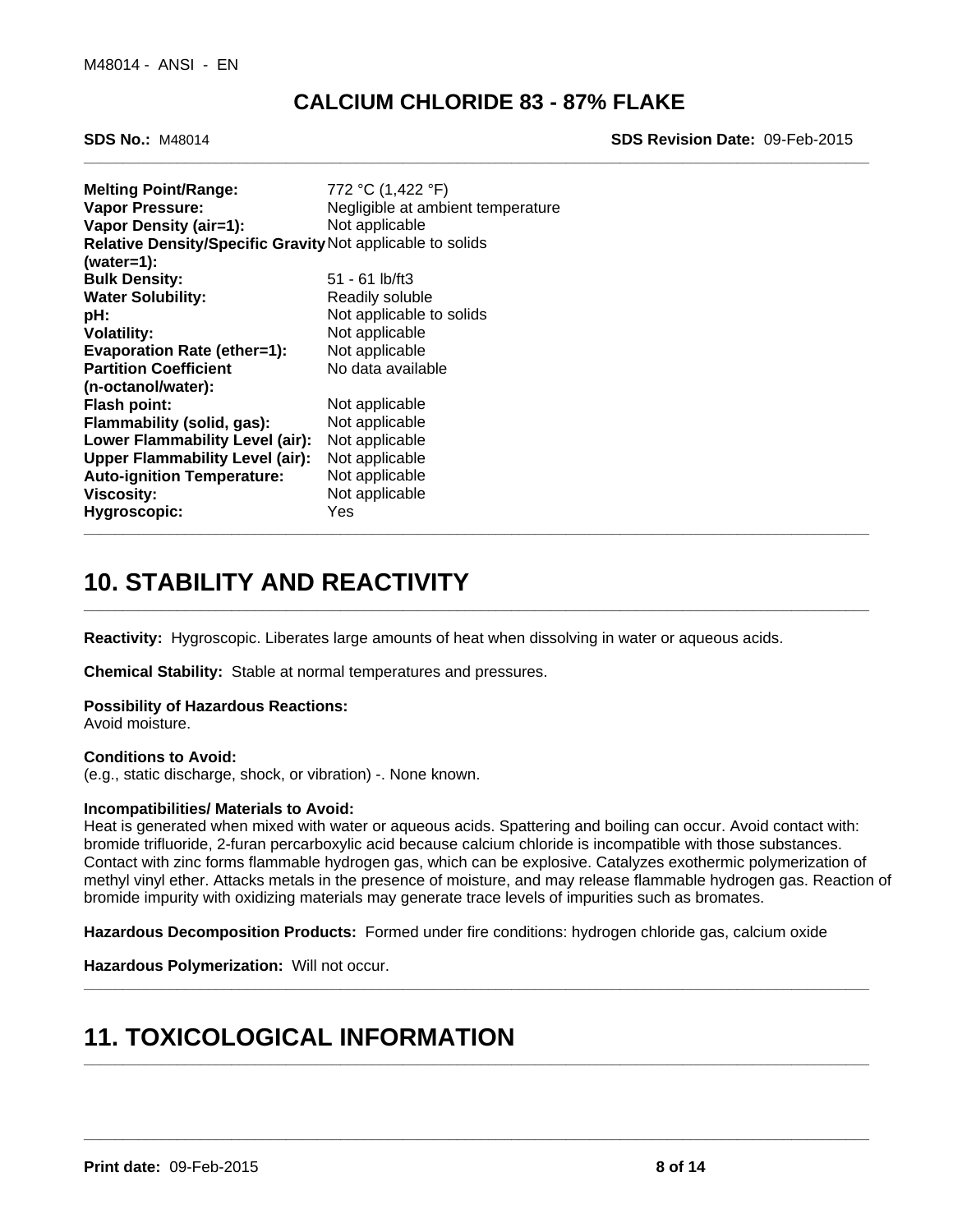**SDS No.:** M48014 **SDS Revision Date:** 09-Feb-2015

| <b>Melting Point/Range:</b><br><b>Vapor Pressure:</b>      | 772 °C (1,422 °F)<br>Negligible at ambient temperature |
|------------------------------------------------------------|--------------------------------------------------------|
| Vapor Density (air=1):                                     | Not applicable                                         |
| Relative Density/Specific Gravity Not applicable to solids |                                                        |
| $(water=1):$                                               |                                                        |
| <b>Bulk Density:</b>                                       | $51 - 61$ lb/ft3                                       |
| <b>Water Solubility:</b>                                   | Readily soluble                                        |
| pH:                                                        | Not applicable to solids                               |
| <b>Volatility:</b>                                         | Not applicable                                         |
| <b>Evaporation Rate (ether=1):</b>                         | Not applicable                                         |
| <b>Partition Coefficient</b>                               | No data available                                      |
| (n-octanol/water):                                         |                                                        |
| Flash point:                                               | Not applicable                                         |
| Flammability (solid, gas):                                 | Not applicable                                         |
| Lower Flammability Level (air):                            | Not applicable                                         |
| <b>Upper Flammability Level (air):</b>                     | Not applicable                                         |
| <b>Auto-ignition Temperature:</b>                          | Not applicable                                         |
| Viscosity:                                                 | Not applicable                                         |
| Hygroscopic:                                               | Yes                                                    |
|                                                            |                                                        |

# **10. STABILITY AND REACTIVITY**

**Reactivity:** Hygroscopic. Liberates large amounts of heat when dissolving in water or aqueous acids.

**Chemical Stability:** Stable at normal temperatures and pressures.

## **Possibility of Hazardous Reactions:**

Avoid moisture.

## **Conditions to Avoid:**

(e.g., static discharge, shock, or vibration) -. None known.

## **Incompatibilities/ Materials to Avoid:**

Heat is generated when mixed with water or aqueous acids. Spattering and boiling can occur. Avoid contact with: bromide trifluoride, 2-furan percarboxylic acid because calcium chloride is incompatible with those substances. Contact with zinc forms flammable hydrogen gas, which can be explosive. Catalyzes exothermic polymerization of methyl vinyl ether. Attacks metals in the presence of moisture, and may release flammable hydrogen gas. Reaction of bromide impurity with oxidizing materials may generate trace levels of impurities such as bromates.

**\_\_\_\_\_\_\_\_\_\_\_\_\_\_\_\_\_\_\_\_\_\_\_\_\_\_\_\_\_\_\_\_\_\_\_\_\_\_\_\_\_\_\_\_\_\_\_\_\_\_\_\_\_\_\_\_\_\_\_\_\_\_\_\_\_\_\_\_\_\_\_\_\_\_\_\_\_\_\_\_\_\_\_\_\_\_\_\_\_\_\_\_\_\_\_\_\_\_\_\_\_**

**\_\_\_\_\_\_\_\_\_\_\_\_\_\_\_\_\_\_\_\_\_\_\_\_\_\_\_\_\_\_\_\_\_\_\_\_\_\_\_\_\_\_\_\_\_\_\_\_\_\_\_\_\_\_\_\_\_\_\_\_\_\_\_\_\_\_\_\_\_\_\_\_\_\_\_\_\_\_\_\_\_\_\_\_\_\_\_\_\_\_\_\_\_\_\_\_\_\_\_\_\_**

**\_\_\_\_\_\_\_\_\_\_\_\_\_\_\_\_\_\_\_\_\_\_\_\_\_\_\_\_\_\_\_\_\_\_\_\_\_\_\_\_\_\_\_\_\_\_\_\_\_\_\_\_\_\_\_\_\_\_\_\_\_\_\_\_\_\_\_\_\_\_\_\_\_\_\_\_\_\_\_\_\_\_\_\_\_\_\_\_\_\_\_\_\_\_\_\_\_\_\_\_\_**

**\_\_\_\_\_\_\_\_\_\_\_\_\_\_\_\_\_\_\_\_\_\_\_\_\_\_\_\_\_\_\_\_\_\_\_\_\_\_\_\_\_\_\_\_\_\_\_\_\_\_\_\_\_\_\_\_\_\_\_\_\_\_\_\_\_\_\_\_\_\_\_\_\_\_\_\_\_\_\_\_\_\_\_\_\_\_\_\_\_\_\_\_\_\_\_\_\_\_\_\_\_**

**Hazardous Decomposition Products:** Formed under fire conditions: hydrogen chloride gas, calcium oxide

**Hazardous Polymerization:** Will not occur.

## **11. TOXICOLOGICAL INFORMATION**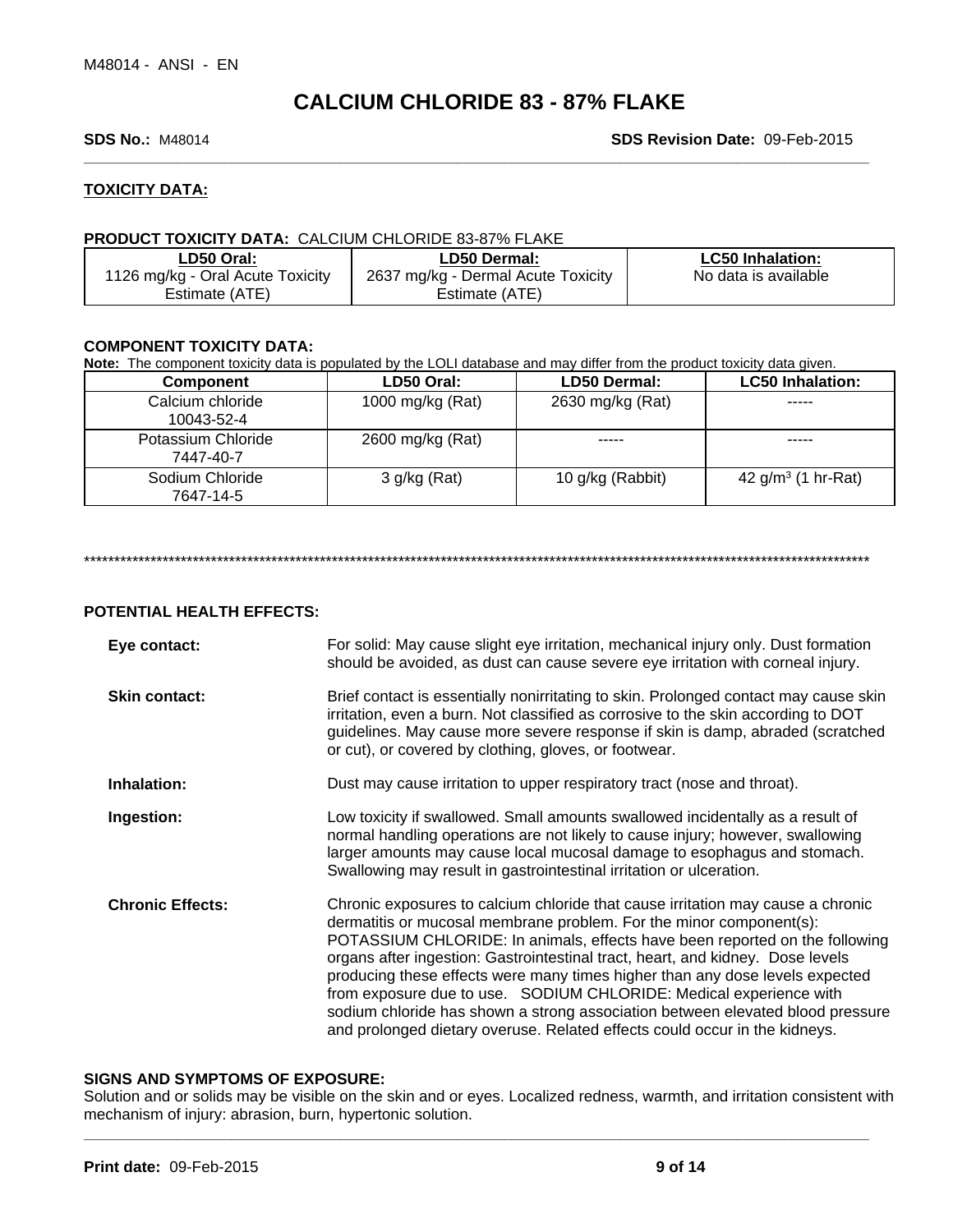## **SDS No.:** M48014 **SDS Revision Date:** 09-Feb-2015

## **TOXICITY DATA:**

## **PRODUCT TOXICITY DATA:** CALCIUM CHLORIDE 83-87% FLAKE

| ∟D50 Oral:                       | LD50 Dermal:                       | <b>LC50 Inhalation:</b> |
|----------------------------------|------------------------------------|-------------------------|
| 1126 mg/kg - Oral Acute Toxicity | 2637 mg/kg - Dermal Acute Toxicity | No data is available    |
| Estimate (ATE)                   | Estimate (ATE)                     |                         |

## **COMPONENT TOXICITY DATA:**

**Note:** The component toxicity data is populated by the LOLI database and may differ from the product toxicity data given.

| Component                       | LD50 Oral:       | LD50 Dermal:     | <b>LC50 Inhalation:</b> |
|---------------------------------|------------------|------------------|-------------------------|
| Calcium chloride<br>10043-52-4  | 1000 mg/kg (Rat) | 2630 mg/kg (Rat) | -----                   |
| Potassium Chloride<br>7447-40-7 | 2600 mg/kg (Rat) | -----            | -----                   |
| Sodium Chloride<br>7647-14-5    | 3 g/kg (Rat)     | 10 g/kg (Rabbit) | 42 $g/m^3$ (1 hr-Rat)   |

\*\*\*\*\*\*\*\*\*\*\*\*\*\*\*\*\*\*\*\*\*\*\*\*\*\*\*\*\*\*\*\*\*\*\*\*\*\*\*\*\*\*\*\*\*\*\*\*\*\*\*\*\*\*\*\*\*\*\*\*\*\*\*\*\*\*\*\*\*\*\*\*\*\*\*\*\*\*\*\*\*\*\*\*\*\*\*\*\*\*\*\*\*\*\*\*\*\*\*\*\*\*\*\*\*\*\*\*\*\*\*\*\*\*\*\*\*\*\*\*\*\*\*\*\*\*\*\*\*\*

## **POTENTIAL HEALTH EFFECTS:**

| Eye contact:            | For solid: May cause slight eye irritation, mechanical injury only. Dust formation<br>should be avoided, as dust can cause severe eye irritation with corneal injury.                                                                                                                                                                                                                                                                                                                                                                                                                                                                         |
|-------------------------|-----------------------------------------------------------------------------------------------------------------------------------------------------------------------------------------------------------------------------------------------------------------------------------------------------------------------------------------------------------------------------------------------------------------------------------------------------------------------------------------------------------------------------------------------------------------------------------------------------------------------------------------------|
| <b>Skin contact:</b>    | Brief contact is essentially nonirritating to skin. Prolonged contact may cause skin<br>irritation, even a burn. Not classified as corrosive to the skin according to DOT<br>guidelines. May cause more severe response if skin is damp, abraded (scratched<br>or cut), or covered by clothing, gloves, or footwear.                                                                                                                                                                                                                                                                                                                          |
| Inhalation:             | Dust may cause irritation to upper respiratory tract (nose and throat).                                                                                                                                                                                                                                                                                                                                                                                                                                                                                                                                                                       |
| Ingestion:              | Low toxicity if swallowed. Small amounts swallowed incidentally as a result of<br>normal handling operations are not likely to cause injury; however, swallowing<br>larger amounts may cause local mucosal damage to esophagus and stomach.<br>Swallowing may result in gastrointestinal irritation or ulceration.                                                                                                                                                                                                                                                                                                                            |
| <b>Chronic Effects:</b> | Chronic exposures to calcium chloride that cause irritation may cause a chronic<br>dermatitis or mucosal membrane problem. For the minor component(s):<br>POTASSIUM CHLORIDE: In animals, effects have been reported on the following<br>organs after ingestion: Gastrointestinal tract, heart, and kidney. Dose levels<br>producing these effects were many times higher than any dose levels expected<br>from exposure due to use. SODIUM CHLORIDE: Medical experience with<br>sodium chloride has shown a strong association between elevated blood pressure<br>and prolonged dietary overuse. Related effects could occur in the kidneys. |

**\_\_\_\_\_\_\_\_\_\_\_\_\_\_\_\_\_\_\_\_\_\_\_\_\_\_\_\_\_\_\_\_\_\_\_\_\_\_\_\_\_\_\_\_\_\_\_\_\_\_\_\_\_\_\_\_\_\_\_\_\_\_\_\_\_\_\_\_\_\_\_\_\_\_\_\_\_\_\_\_\_\_\_\_\_\_\_\_\_\_\_\_\_\_\_\_\_\_\_\_\_ SIGNS AND SYMPTOMS OF EXPOSURE:** Solution and or solids may be visible on the skin and or eyes. Localized redness, warmth, and irritation consistent with mechanism of injury: abrasion, burn, hypertonic solution.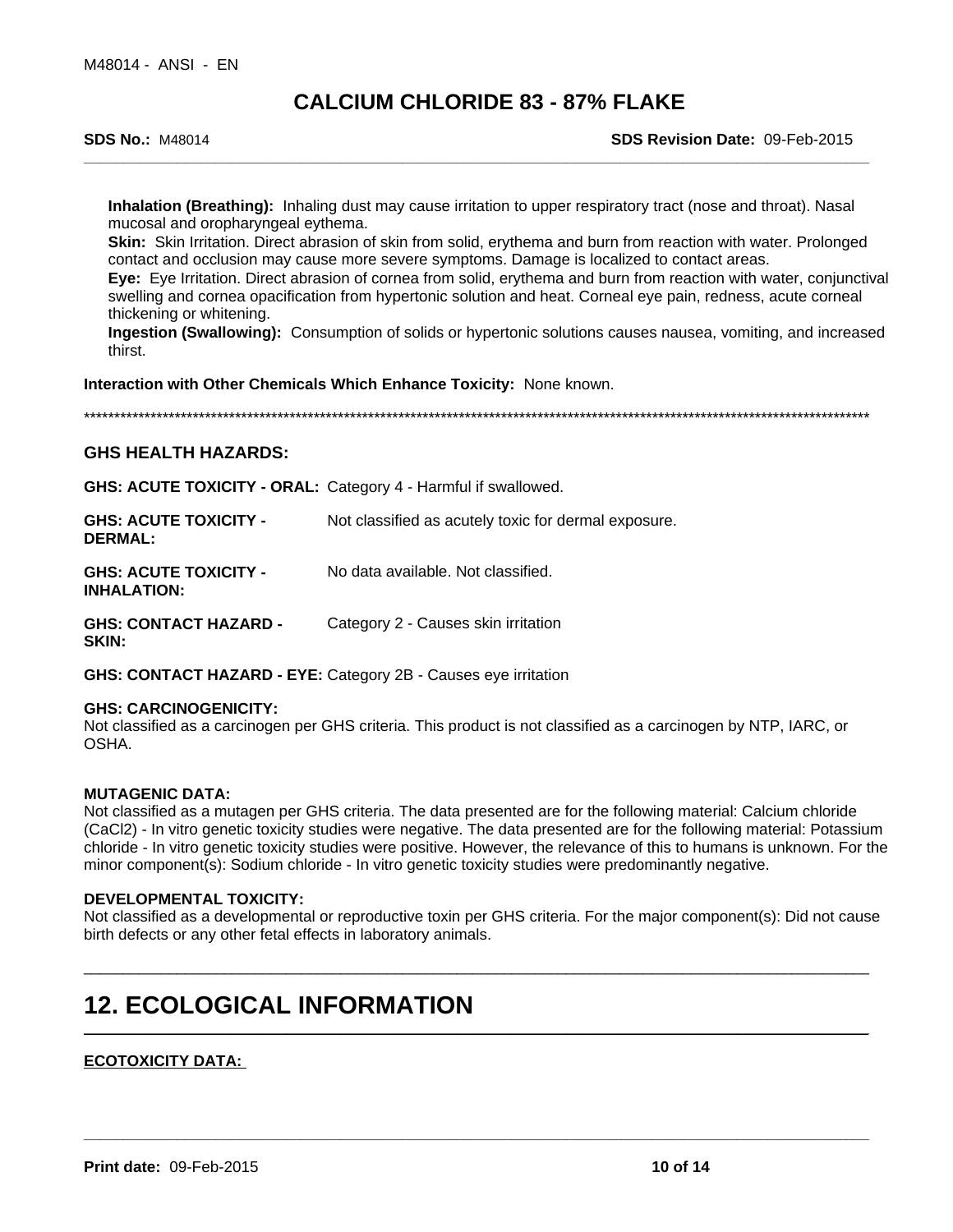**SDS No.:** M48014 **SDS Revision Date:** 09-Feb-2015

**Inhalation (Breathing):** Inhaling dust may cause irritation to upper respiratory tract (nose and throat). Nasal mucosal and oropharyngeal eythema.

**Skin:** Skin Irritation. Direct abrasion of skin from solid, erythema and burn from reaction with water. Prolonged contact and occlusion may cause more severe symptoms. Damage is localized to contact areas.

**Eye:** Eye Irritation. Direct abrasion of cornea from solid, erythema and burn from reaction with water, conjunctival swelling and cornea opacification from hypertonic solution and heat. Corneal eye pain, redness, acute corneal thickening or whitening.

**Ingestion (Swallowing):** Consumption of solids or hypertonic solutions causes nausea, vomiting, and increased thirst.

**Interaction with Other Chemicals Which Enhance Toxicity:** None known.

\*\*\*\*\*\*\*\*\*\*\*\*\*\*\*\*\*\*\*\*\*\*\*\*\*\*\*\*\*\*\*\*\*\*\*\*\*\*\*\*\*\*\*\*\*\*\*\*\*\*\*\*\*\*\*\*\*\*\*\*\*\*\*\*\*\*\*\*\*\*\*\*\*\*\*\*\*\*\*\*\*\*\*\*\*\*\*\*\*\*\*\*\*\*\*\*\*\*\*\*\*\*\*\*\*\*\*\*\*\*\*\*\*\*\*\*\*\*\*\*\*\*\*\*\*\*\*\*\*\*

## **GHS HEALTH HAZARDS:**

**GHS: ACUTE TOXICITY - ORAL:** Category 4 - Harmful if swallowed.

| <b>GHS: ACUTE TOXICITY -</b><br><b>DERMAL:</b>     | Not classified as acutely toxic for dermal exposure. |
|----------------------------------------------------|------------------------------------------------------|
| <b>GHS: ACUTE TOXICITY -</b><br><b>INHALATION:</b> | No data available. Not classified.                   |
| <b>GHS: CONTACT HAZARD -</b><br><b>SKIN:</b>       | Category 2 - Causes skin irritation                  |

**GHS: CONTACT HAZARD - EYE:** Category 2B - Causes eye irritation

## **GHS: CARCINOGENICITY:**

Not classified as a carcinogen per GHS criteria. This product is not classified as a carcinogen by NTP, IARC, or OSHA.

## **MUTAGENIC DATA:**

Not classified as a mutagen per GHS criteria. The data presented are for the following material: Calcium chloride (CaCl2) - In vitro genetic toxicity studies were negative. The data presented are for the following material: Potassium chloride - In vitro genetic toxicity studies were positive. However, the relevance of this to humans is unknown. For the minor component(s): Sodium chloride - In vitro genetic toxicity studies were predominantly negative.

## **DEVELOPMENTAL TOXICITY:**

Not classified as a developmental or reproductive toxin per GHS criteria. For the major component(s): Did not cause birth defects or any other fetal effects in laboratory animals.

**\_\_\_\_\_\_\_\_\_\_\_\_\_\_\_\_\_\_\_\_\_\_\_\_\_\_\_\_\_\_\_\_\_\_\_\_\_\_\_\_\_\_\_\_\_\_\_\_\_\_\_\_\_\_\_\_\_\_\_\_\_\_\_\_\_\_\_\_\_\_\_\_\_\_\_\_\_\_\_\_\_\_\_\_\_\_\_\_\_\_\_\_\_\_\_\_\_\_\_\_\_**

\_\_\_\_\_\_\_\_\_\_\_\_\_\_\_\_\_\_\_\_\_\_\_\_\_\_\_\_\_\_\_\_\_\_\_\_\_\_\_\_\_\_\_\_\_\_\_\_\_\_\_\_\_\_\_\_\_\_\_\_\_\_\_\_\_\_\_\_\_\_\_\_\_\_\_\_\_\_\_\_\_\_\_\_\_\_\_\_\_\_\_\_\_\_\_\_\_\_\_\_\_

**\_\_\_\_\_\_\_\_\_\_\_\_\_\_\_\_\_\_\_\_\_\_\_\_\_\_\_\_\_\_\_\_\_\_\_\_\_\_\_\_\_\_\_\_\_\_\_\_\_\_\_\_\_\_\_\_\_\_\_\_\_\_\_\_\_\_\_\_\_\_\_\_\_\_\_\_\_\_\_\_\_\_\_\_\_\_\_\_\_\_\_\_\_\_\_\_\_\_\_\_\_**

## **12. ECOLOGICAL INFORMATION**

## **ECOTOXICITY DATA:**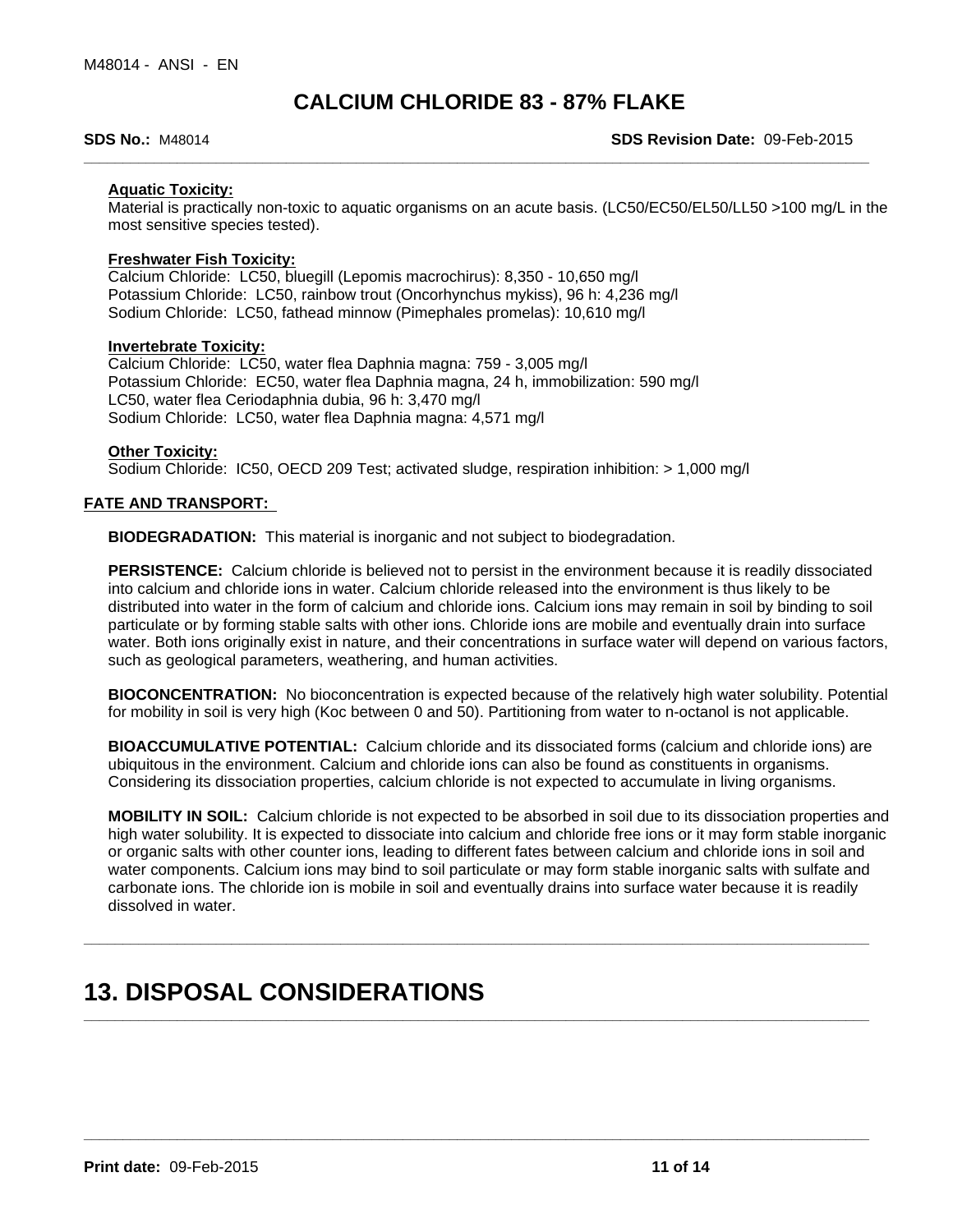**SDS No.:** M48014 **SDS Revision Date:** 09-Feb-2015

## **Aquatic Toxicity:**

Material is practically non-toxic to aquatic organisms on an acute basis. (LC50/EC50/EL50/LL50 >100 mg/L in the most sensitive species tested).

## **Freshwater Fish Toxicity:**

Calcium Chloride: LC50, bluegill (Lepomis macrochirus): 8,350 - 10,650 mg/l Potassium Chloride: LC50, rainbow trout (Oncorhynchus mykiss), 96 h: 4,236 mg/l Sodium Chloride: LC50, fathead minnow (Pimephales promelas): 10,610 mg/l

## **Invertebrate Toxicity:**

Calcium Chloride: LC50, water flea Daphnia magna: 759 - 3,005 mg/l Potassium Chloride: EC50, water flea Daphnia magna, 24 h, immobilization: 590 mg/l LC50, water flea Ceriodaphnia dubia, 96 h: 3,470 mg/l Sodium Chloride: LC50, water flea Daphnia magna: 4,571 mg/l

## **Other Toxicity:**

Sodium Chloride: IC50, OECD 209 Test; activated sludge, respiration inhibition: > 1,000 mg/l

## **FATE AND TRANSPORT:**

**BIODEGRADATION:** This material is inorganic and not subject to biodegradation.

**PERSISTENCE:** Calcium chloride is believed not to persist in the environment because it is readily dissociated into calcium and chloride ions in water. Calcium chloride released into the environment is thus likely to be distributed into water in the form of calcium and chloride ions. Calcium ions may remain in soil by binding to soil particulate or by forming stable salts with other ions. Chloride ions are mobile and eventually drain into surface water. Both ions originally exist in nature, and their concentrations in surface water will depend on various factors, such as geological parameters, weathering, and human activities.

**BIOCONCENTRATION:** No bioconcentration is expected because of the relatively high water solubility. Potential for mobility in soil is very high (Koc between 0 and 50). Partitioning from water to n-octanol is not applicable.

**BIOACCUMULATIVE POTENTIAL:** Calcium chloride and its dissociated forms (calcium and chloride ions) are ubiquitous in the environment. Calcium and chloride ions can also be found as constituents in organisms. Considering its dissociation properties, calcium chloride is not expected to accumulate in living organisms.

**MOBILITY IN SOIL:** Calcium chloride is not expected to be absorbed in soil due to its dissociation properties and high water solubility. It is expected to dissociate into calcium and chloride free ions or it may form stable inorganic or organic salts with other counter ions, leading to different fates between calcium and chloride ions in soil and water components. Calcium ions may bind to soil particulate or may form stable inorganic salts with sulfate and carbonate ions. The chloride ion is mobile in soil and eventually drains into surface water because it is readily dissolved in water.

**\_\_\_\_\_\_\_\_\_\_\_\_\_\_\_\_\_\_\_\_\_\_\_\_\_\_\_\_\_\_\_\_\_\_\_\_\_\_\_\_\_\_\_\_\_\_\_\_\_\_\_\_\_\_\_\_\_\_\_\_\_\_\_\_\_\_\_\_\_\_\_\_\_\_\_\_\_\_\_\_\_\_\_\_\_\_\_\_\_\_\_\_\_\_\_\_\_\_\_\_\_**

**\_\_\_\_\_\_\_\_\_\_\_\_\_\_\_\_\_\_\_\_\_\_\_\_\_\_\_\_\_\_\_\_\_\_\_\_\_\_\_\_\_\_\_\_\_\_\_\_\_\_\_\_\_\_\_\_\_\_\_\_\_\_\_\_\_\_\_\_\_\_\_\_\_\_\_\_\_\_\_\_\_\_\_\_\_\_\_\_\_\_\_\_\_\_\_\_\_\_\_\_\_**

**\_\_\_\_\_\_\_\_\_\_\_\_\_\_\_\_\_\_\_\_\_\_\_\_\_\_\_\_\_\_\_\_\_\_\_\_\_\_\_\_\_\_\_\_\_\_\_\_\_\_\_\_\_\_\_\_\_\_\_\_\_\_\_\_\_\_\_\_\_\_\_\_\_\_\_\_\_\_\_\_\_\_\_\_\_\_\_\_\_\_\_\_\_\_\_\_\_\_\_\_\_**

## **13. DISPOSAL CONSIDERATIONS**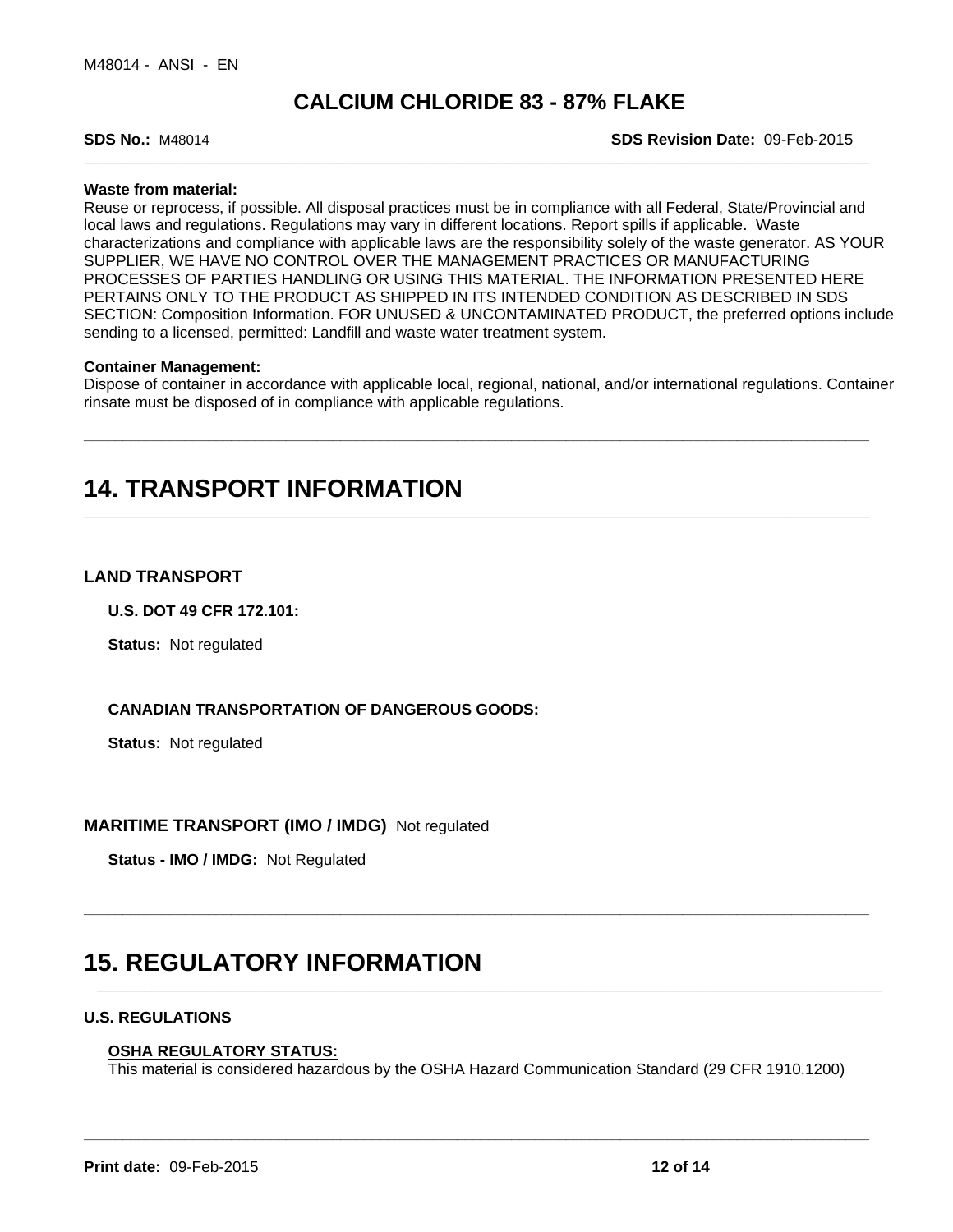**SDS No.:** M48014 **SDS Revision Date:** 09-Feb-2015

## **Waste from material:**

Reuse or reprocess, if possible. All disposal practices must be in compliance with all Federal, State/Provincial and local laws and regulations. Regulations may vary in different locations. Report spills if applicable. Waste characterizations and compliance with applicable laws are the responsibility solely of the waste generator. AS YOUR SUPPLIER, WE HAVE NO CONTROL OVER THE MANAGEMENT PRACTICES OR MANUFACTURING PROCESSES OF PARTIES HANDLING OR USING THIS MATERIAL. THE INFORMATION PRESENTED HERE PERTAINS ONLY TO THE PRODUCT AS SHIPPED IN ITS INTENDED CONDITION AS DESCRIBED IN SDS SECTION: Composition Information. FOR UNUSED & UNCONTAMINATED PRODUCT, the preferred options include sending to a licensed, permitted: Landfill and waste water treatment system.

## **Container Management:**

Dispose of container in accordance with applicable local, regional, national, and/or international regulations. Container rinsate must be disposed of in compliance with applicable regulations.

**\_\_\_\_\_\_\_\_\_\_\_\_\_\_\_\_\_\_\_\_\_\_\_\_\_\_\_\_\_\_\_\_\_\_\_\_\_\_\_\_\_\_\_\_\_\_\_\_\_\_\_\_\_\_\_\_\_\_\_\_\_\_\_\_\_\_\_\_\_\_\_\_\_\_\_\_\_\_\_\_\_\_\_\_\_\_\_\_\_\_\_\_\_\_\_\_\_\_\_\_\_**

**\_\_\_\_\_\_\_\_\_\_\_\_\_\_\_\_\_\_\_\_\_\_\_\_\_\_\_\_\_\_\_\_\_\_\_\_\_\_\_\_\_\_\_\_\_\_\_\_\_\_\_\_\_\_\_\_\_\_\_\_\_\_\_\_\_\_\_\_\_\_\_\_\_\_\_\_\_\_\_\_\_\_\_\_\_\_\_\_\_\_\_\_\_\_\_\_\_\_\_\_\_**

**\_\_\_\_\_\_\_\_\_\_\_\_\_\_\_\_\_\_\_\_\_\_\_\_\_\_\_\_\_\_\_\_\_\_\_\_\_\_\_\_\_\_\_\_\_\_\_\_\_\_\_\_\_\_\_\_\_\_\_\_\_\_\_\_\_\_\_\_\_\_\_\_\_\_\_\_\_\_\_\_\_\_\_\_\_\_\_\_\_\_\_\_\_\_\_\_\_\_\_\_\_**

**\_\_\_\_\_\_\_\_\_\_\_\_\_\_\_\_\_\_\_\_\_\_\_\_\_\_\_\_\_\_\_\_\_\_\_\_\_\_\_\_\_\_\_\_\_\_\_\_\_\_\_\_\_\_\_\_\_\_\_\_\_\_\_\_\_\_\_\_\_\_\_\_\_\_\_\_\_\_\_\_\_\_\_\_\_\_\_\_\_\_\_\_\_\_\_\_\_\_\_\_\_**

**\_\_\_\_\_\_\_\_\_\_\_\_\_\_\_\_\_\_\_\_\_\_\_\_\_\_\_\_\_\_\_\_\_\_\_\_\_\_\_\_\_\_\_\_\_\_\_\_\_\_\_\_\_\_\_\_\_\_\_\_\_\_\_\_\_\_\_\_\_\_\_\_\_\_\_\_\_\_\_\_\_\_\_\_\_\_\_\_\_\_\_\_\_\_\_\_\_\_\_\_\_**

## **14. TRANSPORT INFORMATION**

## **LAND TRANSPORT**

**U.S. DOT 49 CFR 172.101:**

**Status:** Not regulated

## **CANADIAN TRANSPORTATION OF DANGEROUS GOODS:**

**Status:** Not regulated

## **MARITIME TRANSPORT (IMO / IMDG)** Not regulated

**Status - IMO / IMDG:** Not Regulated

## **15. REGULATORY INFORMATION**

## **U.S. REGULATIONS**

### **OSHA REGULATORY STATUS:**

This material is considered hazardous by the OSHA Hazard Communication Standard (29 CFR 1910.1200)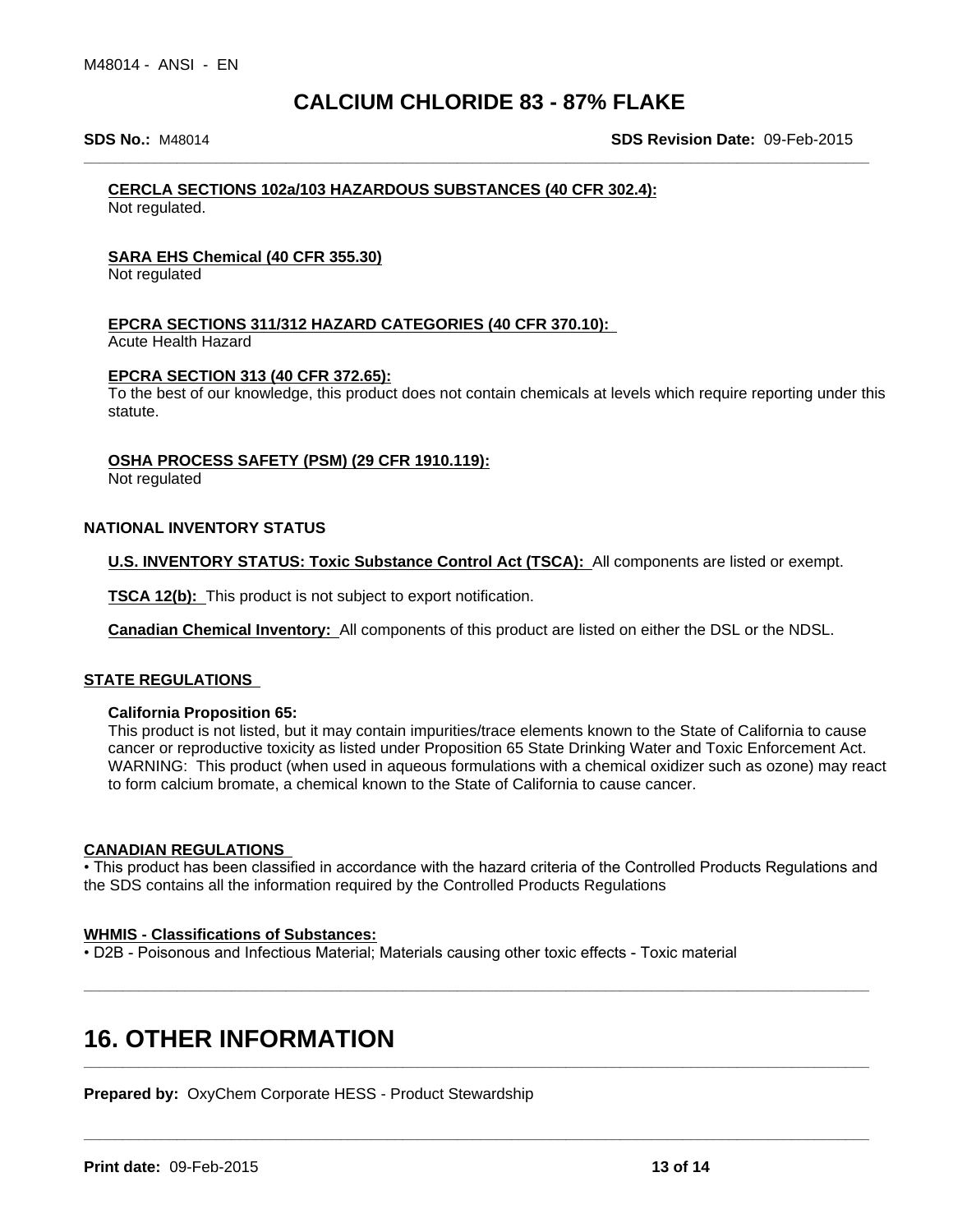**SDS No.:** M48014 **SDS Revision Date:** 09-Feb-2015

## **CERCLA SECTIONS 102a/103 HAZARDOUS SUBSTANCES (40 CFR 302.4):**

Not regulated.

## **SARA EHS Chemical (40 CFR 355.30)**

Not regulated

## **EPCRA SECTIONS 311/312 HAZARD CATEGORIES (40 CFR 370.10):**

Acute Health Hazard

## **EPCRA SECTION 313 (40 CFR 372.65):**

To the best of our knowledge, this product does not contain chemicals at levels which require reporting under this statute.

## **OSHA PROCESS SAFETY (PSM) (29 CFR 1910.119):**

Not regulated

## **NATIONAL INVENTORY STATUS**

**U.S. INVENTORY STATUS: Toxic Substance Control Act (TSCA):** All components are listed or exempt.

**TSCA 12(b):** This product is not subject to export notification.

**Canadian Chemical Inventory:** All components of this product are listed on either the DSL or the NDSL.

## **STATE REGULATIONS**

## **California Proposition 65:**

This product is not listed, but it may contain impurities/trace elements known to the State of California to cause cancer or reproductive toxicity as listed under Proposition 65 State Drinking Water and Toxic Enforcement Act. WARNING: This product (when used in aqueous formulations with a chemical oxidizer such as ozone) may react to form calcium bromate, a chemical known to the State of California to cause cancer.

## **CANADIAN REGULATIONS**

• This product has been classified in accordance with the hazard criteria of the Controlled Products Regulations and the SDS contains all the information required by the Controlled Products Regulations

**\_\_\_\_\_\_\_\_\_\_\_\_\_\_\_\_\_\_\_\_\_\_\_\_\_\_\_\_\_\_\_\_\_\_\_\_\_\_\_\_\_\_\_\_\_\_\_\_\_\_\_\_\_\_\_\_\_\_\_\_\_\_\_\_\_\_\_\_\_\_\_\_\_\_\_\_\_\_\_\_\_\_\_\_\_\_\_\_\_\_\_\_\_\_\_\_\_\_\_\_\_**

**\_\_\_\_\_\_\_\_\_\_\_\_\_\_\_\_\_\_\_\_\_\_\_\_\_\_\_\_\_\_\_\_\_\_\_\_\_\_\_\_\_\_\_\_\_\_\_\_\_\_\_\_\_\_\_\_\_\_\_\_\_\_\_\_\_\_\_\_\_\_\_\_\_\_\_\_\_\_\_\_\_\_\_\_\_\_\_\_\_\_\_\_\_\_\_\_\_\_\_\_\_**

**\_\_\_\_\_\_\_\_\_\_\_\_\_\_\_\_\_\_\_\_\_\_\_\_\_\_\_\_\_\_\_\_\_\_\_\_\_\_\_\_\_\_\_\_\_\_\_\_\_\_\_\_\_\_\_\_\_\_\_\_\_\_\_\_\_\_\_\_\_\_\_\_\_\_\_\_\_\_\_\_\_\_\_\_\_\_\_\_\_\_\_\_\_\_\_\_\_\_\_\_\_**

## **WHMIS - Classifications of Substances:**

• D2B - Poisonous and Infectious Material; Materials causing other toxic effects - Toxic material

## **16. OTHER INFORMATION**

**Prepared by:** OxyChem Corporate HESS - Product Stewardship